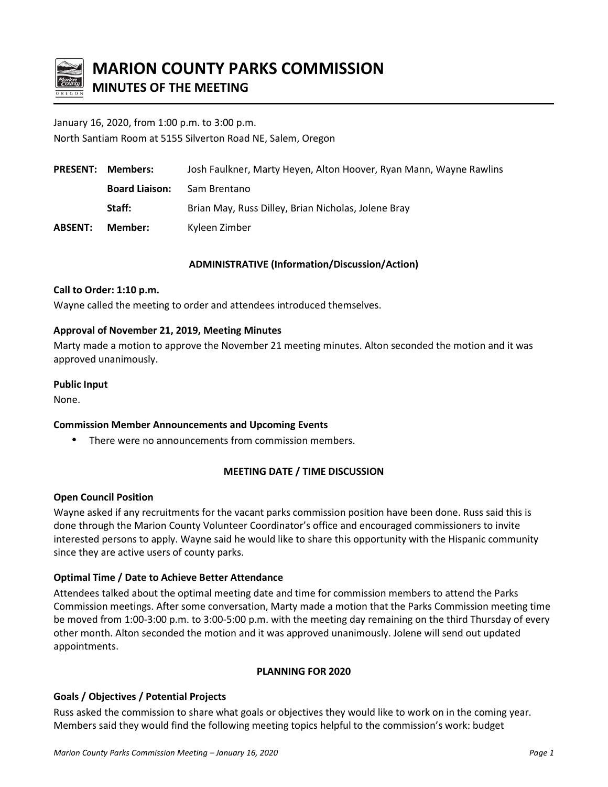

# **MARION COUNTY PARKS COMMISSION MINUTES OF THE MEETING**

January 16, 2020, from 1:00 p.m. to 3:00 p.m. North Santiam Room at 5155 Silverton Road NE, Salem, Oregon

|         | <b>PRESENT: Members:</b> | Josh Faulkner, Marty Heyen, Alton Hoover, Ryan Mann, Wayne Rawlins |
|---------|--------------------------|--------------------------------------------------------------------|
|         | <b>Board Liaison:</b>    | Sam Brentano                                                       |
|         | Staff:                   | Brian May, Russ Dilley, Brian Nicholas, Jolene Bray                |
| ABSENT: | Member:                  | Kyleen Zimber                                                      |

# **ADMINISTRATIVE (Information/Discussion/Action)**

#### **Call to Order: 1:10 p.m.**

Wayne called the meeting to order and attendees introduced themselves.

# **Approval of November 21, 2019, Meeting Minutes**

Marty made a motion to approve the November 21 meeting minutes. Alton seconded the motion and it was approved unanimously.

#### **Public Input**

None.

# **Commission Member Announcements and Upcoming Events**

There were no announcements from commission members.

# **MEETING DATE / TIME DISCUSSION**

# **Open Council Position**

Wayne asked if any recruitments for the vacant parks commission position have been done. Russ said this is done through the Marion County Volunteer Coordinator's office and encouraged commissioners to invite interested persons to apply. Wayne said he would like to share this opportunity with the Hispanic community since they are active users of county parks.

# **Optimal Time / Date to Achieve Better Attendance**

Attendees talked about the optimal meeting date and time for commission members to attend the Parks Commission meetings. After some conversation, Marty made a motion that the Parks Commission meeting time be moved from 1:00-3:00 p.m. to 3:00-5:00 p.m. with the meeting day remaining on the third Thursday of every other month. Alton seconded the motion and it was approved unanimously. Jolene will send out updated appointments.

# **PLANNING FOR 2020**

# **Goals / Objectives / Potential Projects**

Russ asked the commission to share what goals or objectives they would like to work on in the coming year. Members said they would find the following meeting topics helpful to the commission's work: budget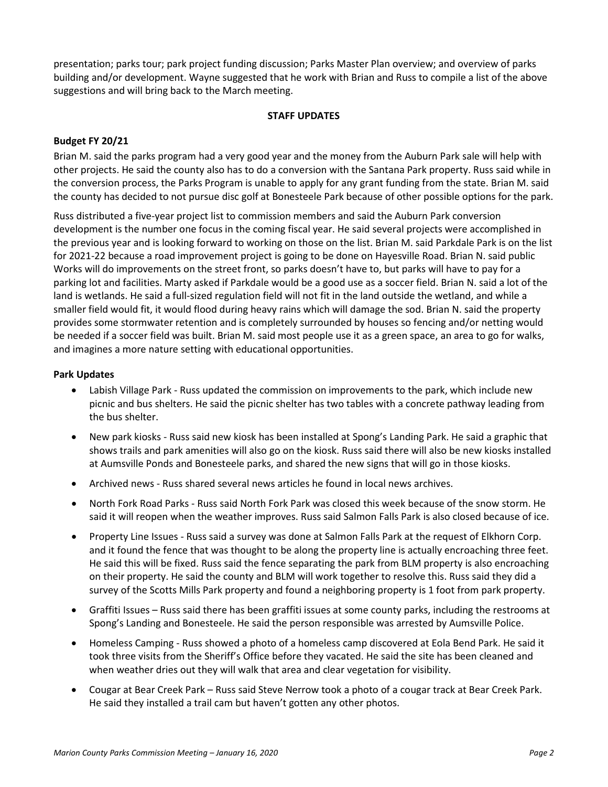presentation; parks tour; park project funding discussion; Parks Master Plan overview; and overview of parks building and/or development. Wayne suggested that he work with Brian and Russ to compile a list of the above suggestions and will bring back to the March meeting.

#### **STAFF UPDATES**

# **Budget FY 20/21**

Brian M. said the parks program had a very good year and the money from the Auburn Park sale will help with other projects. He said the county also has to do a conversion with the Santana Park property. Russ said while in the conversion process, the Parks Program is unable to apply for any grant funding from the state. Brian M. said the county has decided to not pursue disc golf at Bonesteele Park because of other possible options for the park.

Russ distributed a five-year project list to commission members and said the Auburn Park conversion development is the number one focus in the coming fiscal year. He said several projects were accomplished in the previous year and is looking forward to working on those on the list. Brian M. said Parkdale Park is on the list for 2021-22 because a road improvement project is going to be done on Hayesville Road. Brian N. said public Works will do improvements on the street front, so parks doesn't have to, but parks will have to pay for a parking lot and facilities. Marty asked if Parkdale would be a good use as a soccer field. Brian N. said a lot of the land is wetlands. He said a full-sized regulation field will not fit in the land outside the wetland, and while a smaller field would fit, it would flood during heavy rains which will damage the sod. Brian N. said the property provides some stormwater retention and is completely surrounded by houses so fencing and/or netting would be needed if a soccer field was built. Brian M. said most people use it as a green space, an area to go for walks, and imagines a more nature setting with educational opportunities.

#### **Park Updates**

- Labish Village Park Russ updated the commission on improvements to the park, which include new picnic and bus shelters. He said the picnic shelter has two tables with a concrete pathway leading from the bus shelter.
- New park kiosks Russ said new kiosk has been installed at Spong's Landing Park. He said a graphic that shows trails and park amenities will also go on the kiosk. Russ said there will also be new kiosks installed at Aumsville Ponds and Bonesteele parks, and shared the new signs that will go in those kiosks.
- Archived news Russ shared several news articles he found in local news archives.
- North Fork Road Parks Russ said North Fork Park was closed this week because of the snow storm. He said it will reopen when the weather improves. Russ said Salmon Falls Park is also closed because of ice.
- Property Line Issues Russ said a survey was done at Salmon Falls Park at the request of Elkhorn Corp. and it found the fence that was thought to be along the property line is actually encroaching three feet. He said this will be fixed. Russ said the fence separating the park from BLM property is also encroaching on their property. He said the county and BLM will work together to resolve this. Russ said they did a survey of the Scotts Mills Park property and found a neighboring property is 1 foot from park property.
- Graffiti Issues Russ said there has been graffiti issues at some county parks, including the restrooms at Spong's Landing and Bonesteele. He said the person responsible was arrested by Aumsville Police.
- Homeless Camping Russ showed a photo of a homeless camp discovered at Eola Bend Park. He said it took three visits from the Sheriff's Office before they vacated. He said the site has been cleaned and when weather dries out they will walk that area and clear vegetation for visibility.
- Cougar at Bear Creek Park Russ said Steve Nerrow took a photo of a cougar track at Bear Creek Park. He said they installed a trail cam but haven't gotten any other photos.